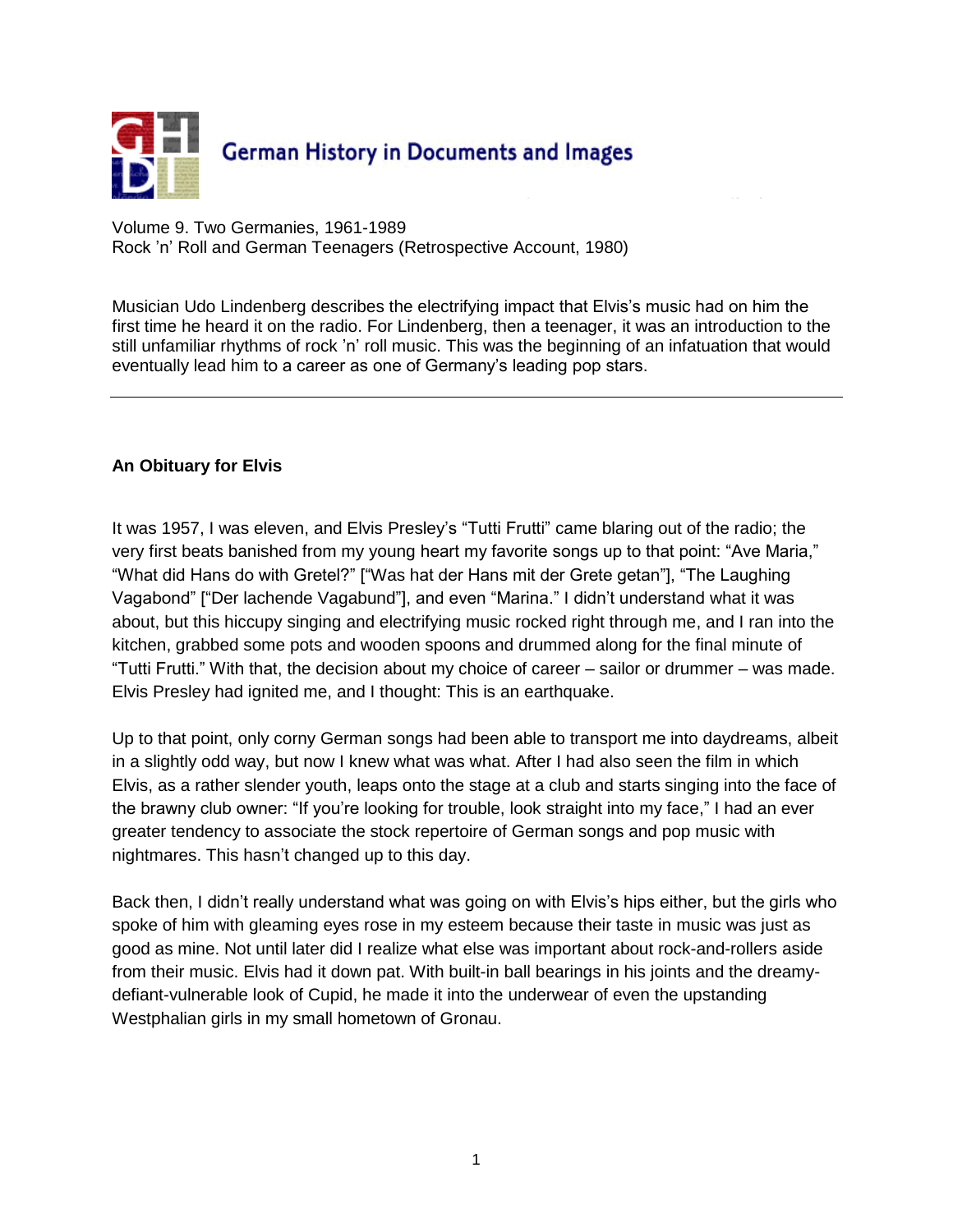

Volume 9. Two Germanies, 1961-1989 Rock 'n' Roll and German Teenagers (Retrospective Account, 1980)

Musician [Udo Lindenberg](javascript:bioinfo(52)) describes the electrifying impact that Elvis's music had on him the first time he heard it on the radio. For Lindenberg, then a teenager, it was an introduction to the still unfamiliar rhythms of rock 'n' roll music. This was the beginning of an infatuation that would eventually lead him to a career as one of Germany's leading pop stars.

## **An Obituary for Elvis**

It was 1957, I was eleven, and Elvis Presley's "Tutti Frutti" came blaring out of the radio; the very first beats banished from my young heart my favorite songs up to that point: "Ave Maria," "What did Hans do with Gretel?" ["Was hat der Hans mit der Grete getan"], "The Laughing Vagabond" ["Der lachende Vagabund"], and even "Marina." I didn't understand what it was about, but this hiccupy singing and electrifying music rocked right through me, and I ran into the kitchen, grabbed some pots and wooden spoons and drummed along for the final minute of "Tutti Frutti." With that, the decision about my choice of career – sailor or drummer – was made. Elvis Presley had ignited me, and I thought: This is an earthquake.

Up to that point, only corny German songs had been able to transport me into daydreams, albeit in a slightly odd way, but now I knew what was what. After I had also seen the film in which Elvis, as a rather slender youth, leaps onto the stage at a club and starts singing into the face of the brawny club owner: "If you're looking for trouble, look straight into my face," I had an ever greater tendency to associate the stock repertoire of German songs and pop music with nightmares. This hasn't changed up to this day.

Back then, I didn't really understand what was going on with Elvis's hips either, but the girls who spoke of him with gleaming eyes rose in my esteem because their taste in music was just as good as mine. Not until later did I realize what else was important about rock-and-rollers aside from their music. Elvis had it down pat. With built-in ball bearings in his joints and the dreamydefiant-vulnerable look of Cupid, he made it into the underwear of even the upstanding Westphalian girls in my small hometown of Gronau.